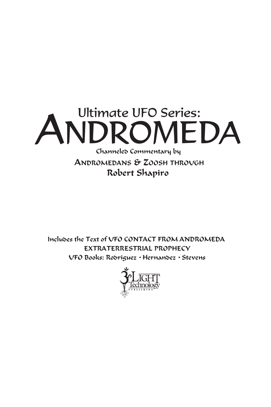

Includes the Text of UFO CONTACT FROM ANDROMEDA EXTRATERRESTRIAL PROPHECY UFO Books: Rodriguez • Hernandez • Stevens

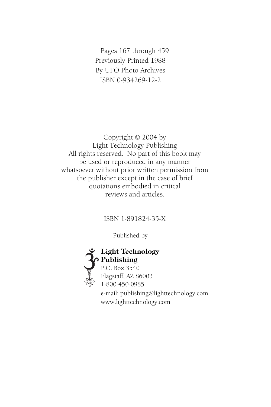Pages 167 through 459 Previously Printed 1988 By UFO Photo Archives ISBN 0-934269-12-2

Copyright © 2004 by Light Technology Publishing All rights reserved. No part of this book may be used or reproduced in any manner whatsoever without prior written permission from the publisher except in the case of brief quotations embodied in critical reviews and articles.

ISBN 1-891824-35-X

Published by



Light Technology Publishing P.O. Box 3540 Flagstaff, AZ 86003 1-800-450-0985 e-mail: publishing@lighttechnology.com www.lighttechnology.com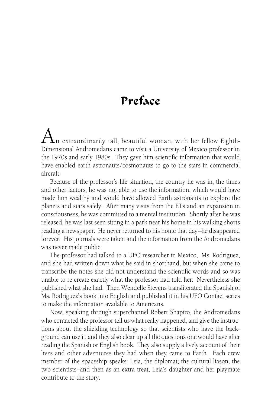# Preface

 $\boldsymbol{\Lambda}$ n extraordinarily tall, beautiful woman, with her fellow Eighth-Dimensional Andromedans came to visit a University of Mexico professor in the 1970s and early 1980s. They gave him scientific information that would have enabled earth astronauts/cosmonauts to go to the stars in commercial aircraft.

Because of the professor's life situation, the country he was in, the times and other factors, he was not able to use the information, which would have made him wealthy and would have allowed Earth astronauts to explore the planets and stars safely. After many visits from the ETs and an expansion in consciousness, he was committed to a mental institution. Shortly after he was released, he was last seen sitting in a park near his home in his walking shorts reading a newspaper. He never returned to his home that day—he disappeared forever. His journals were taken and the information from the Andromedans was never made public.

The professor had talked to a UFO researcher in Mexico, Ms. Rodriguez, and she had written down what he said in shorthand, but when she came to transcribe the notes she did not understand the scientific words and so was unable to re-create exactly what the professor had told her. Nevertheless she published what she had. Then Wendelle Stevens transliterated the Spanish of Ms. Rodriguez's book into English and published it in his UFO Contact series to make the information available to Americans.

Now, speaking through superchannel Robert Shapiro, the Andromedans who contacted the professor tell us what really happened, and give the instructions about the shielding technology so that scientists who have the background can use it, and they also clear up all the questions one would have after reading the Spanish or English book. They also supply a lively account of their lives and other adventures they had when they came to Earth. Each crew member of the spaceship speaks: Leia, the diplomat; the cultural liason; the two scientists—and then as an extra treat, Leia's daughter and her playmate contribute to the story.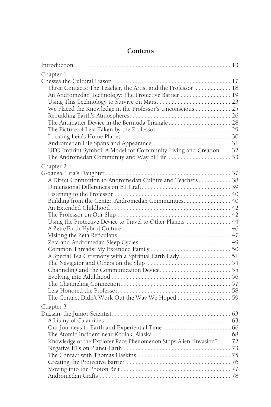## **Contents**

| Chapter 1                                                           |  |
|---------------------------------------------------------------------|--|
|                                                                     |  |
| Three Contacts: The Teacher, the Artist and the Professor  18       |  |
| An Andromedan Technology: The Protective Barrier  19                |  |
|                                                                     |  |
| We Placed the Knowledge in the Professor's Unconscious 25           |  |
|                                                                     |  |
|                                                                     |  |
|                                                                     |  |
|                                                                     |  |
|                                                                     |  |
| UFO Imprint Symbol: A Model for Community Living and Creation. 32   |  |
|                                                                     |  |
| Chapter 2                                                           |  |
|                                                                     |  |
| A Direct Connection to Andromedan Culture and Teachers 38           |  |
|                                                                     |  |
|                                                                     |  |
| Building from the Center: Andromedan Communities. 40                |  |
|                                                                     |  |
|                                                                     |  |
| Using the Protective Device to Travel to Other Planets  44          |  |
|                                                                     |  |
|                                                                     |  |
|                                                                     |  |
|                                                                     |  |
| A Special Tea Ceremony with a Spiritual Earth Lady  51              |  |
|                                                                     |  |
|                                                                     |  |
|                                                                     |  |
|                                                                     |  |
|                                                                     |  |
| The Contact Didn't Work Out the Way We Hoped  59                    |  |
| Chapter 3                                                           |  |
|                                                                     |  |
|                                                                     |  |
|                                                                     |  |
|                                                                     |  |
| Knowledge of the Explorer Race Phenomenon Stops Alien "Invasion" 72 |  |
|                                                                     |  |
|                                                                     |  |
|                                                                     |  |
|                                                                     |  |
|                                                                     |  |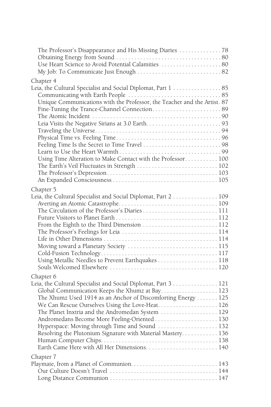| Use Heart Science to Avoid Potential Calamities  80                      |  |
|--------------------------------------------------------------------------|--|
|                                                                          |  |
|                                                                          |  |
| Chapter 4                                                                |  |
| Leia, the Cultural Specialist and Social Diplomat, Part 1  85            |  |
|                                                                          |  |
| Unique Communications with the Professor, the Teacher and the Artist. 87 |  |
| Fine-Tuning the Trance-Channel Connection 89                             |  |
|                                                                          |  |
|                                                                          |  |
|                                                                          |  |
|                                                                          |  |
|                                                                          |  |
|                                                                          |  |
| Using Time Alteration to Make Contact with the Professor 100             |  |
| The Earth's Veil Fluctuates in Strength  102                             |  |
|                                                                          |  |
|                                                                          |  |
| Chapter 5                                                                |  |
| Leia, the Cultural Specialist and Social Diplomat, Part 2 109            |  |
|                                                                          |  |
|                                                                          |  |
|                                                                          |  |
| From the Eighth to the Third Dimension  112                              |  |
|                                                                          |  |
|                                                                          |  |
|                                                                          |  |
|                                                                          |  |
|                                                                          |  |
|                                                                          |  |
| Chapter 6                                                                |  |
| Leia, the Cultural Specialist and Social Diplomat, Part 3 121            |  |
| Global Communication Keeps the Xhumz at Bay 123                          |  |
| The Xhumz Used 1914 as an Anchor of Discomforting Energy  125            |  |
| We Can Rescue Ourselves Using the Love-Heat 126                          |  |
| The Planet Inxtria and the Andromedan System  129                        |  |
| Andromedans Become More Feeling-Oriented 130                             |  |
| Hyperspace: Moving through Time and Sound  132                           |  |
| Resolving the Plutonium Signature with Material Mastery 136              |  |
|                                                                          |  |
| Earth Came Here with All Her Dimensions 140                              |  |
|                                                                          |  |
| Chapter 7                                                                |  |
|                                                                          |  |
|                                                                          |  |
|                                                                          |  |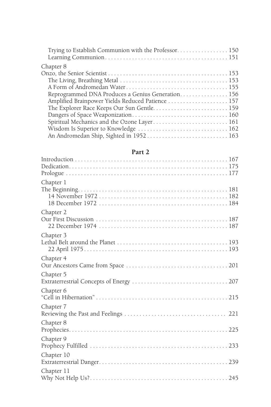| Trying to Establish Communion with the Professor 150 |  |
|------------------------------------------------------|--|
| Chapter 8                                            |  |
|                                                      |  |
|                                                      |  |
|                                                      |  |
| Reprogrammed DNA Produces a Genius Generation 156    |  |
| Amplified Brainpower Yields Reduced Patience  157    |  |
| The Explorer Race Keeps Our Sun Gentle 159           |  |
|                                                      |  |
| Spiritual Mechanics and the Ozone Layer 161          |  |
|                                                      |  |
| An Andromedan Ship, Sighted in 1952 163              |  |
|                                                      |  |

## **Part 2**

| Chapter 1  |
|------------|
| Chapter 2  |
| Chapter 3  |
| Chapter 4  |
| Chapter 5  |
| Chapter 6  |
| Chapter 7  |
| Chapter 8  |
| Chapter 9  |
| Chapter 10 |
| Chapter 11 |
|            |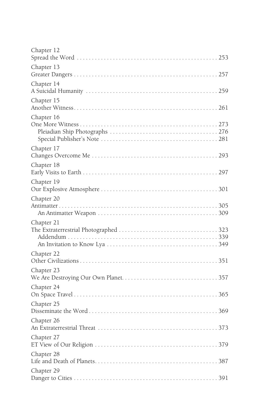| Chapter 12                                      |
|-------------------------------------------------|
| Chapter 13                                      |
|                                                 |
| Chapter 14                                      |
| Chapter 15                                      |
| Chapter 16                                      |
| Chapter 17                                      |
| Chapter 18                                      |
| Chapter 19                                      |
| Chapter 20                                      |
| Chapter 21                                      |
| Chapter 22                                      |
| Chapter 23                                      |
| Chapter 24                                      |
| Chapter 25                                      |
| Chapter 26<br>An Extraterrestrial Threat<br>373 |
| Chapter 27                                      |
| Chapter 28                                      |
| Chapter 29                                      |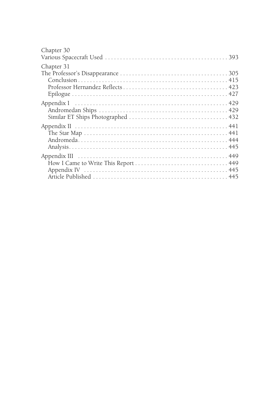| Chapter 30 |  |
|------------|--|
| Chapter 31 |  |
|            |  |
|            |  |
|            |  |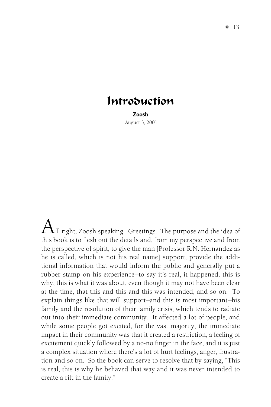# Introduction

**Zoosh**

August 3, 2001

 $\blacktriangle$  ll right, Zoosh speaking. Greetings. The purpose and the idea of this book is to flesh out the details and, from my perspective and from the perspective of spirit, to give the man [Professor R.N. Hernandez as he is called, which is not his real name] support, provide the additional information that would inform the public and generally put a rubber stamp on his experience—to say it's real, it happened, this is why, this is what it was about, even though it may not have been clear at the time, that this and this and this was intended, and so on. To explain things like that will support—and this is most important—his family and the resolution of their family crisis, which tends to radiate out into their immediate community. It affected a lot of people, and while some people got excited, for the vast majority, the immediate impact in their community was that it created a restriction, a feeling of excitement quickly followed by a no-no finger in the face, and it is just a complex situation where there's a lot of hurt feelings, anger, frustration and so on. So the book can serve to resolve that by saying, "This is real, this is why he behaved that way and it was never intended to create a rift in the family."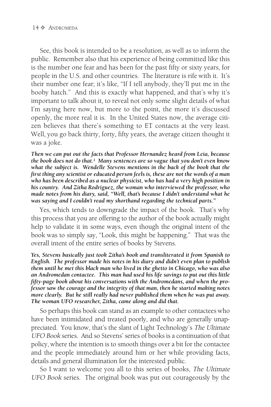See, this book is intended to be a resolution, as well as to inform the public. Remember also that his experience of being committed like this is the number one fear and has been for the past fifty or sixty years, for people in the U.S. and other countries. The literature is rife with it. It's their number one fear; it's like, "If I tell anybody, they'll put me in the booby hatch." And this is exactly what happened, and that's why it's important to talk about it, to reveal not only some slight details of what I'm saying here now, but more to the point, the more it's discussed openly, the more real it is. In the United States now, the average citizen believes that there's something to ET contacts at the very least. Well, you go back thirty, forty, fifty years, the average citizen thought it was a joke.

*Then we can put out the facts that Professor Hernandez heard from Leia, because the book does not do that.1 Many sentences are so vague that you don't even know what the subject is. Wendelle Stevens mentions in the back of the book that the first thing any scientist or educated person feels is, these are not the words of a man who has been described as a nuclear physicist, who has had a very high position in his country. And Zitha Rodriguez, the woman who interviewed the professor, who made notes from his diary, said, "Well, that's because I didn't understand what he was saying and I couldn't read my shorthand regarding the technical parts."*

Yes, which tends to downgrade the impact of the book. That's why this process that you are offering to the author of the book actually might help to validate it in some ways, even though the original intent of the book was to simply say, "Look, this might be happening." That was the overall intent of the entire series of books by Stevens.

*Yes, Stevens basically just took Zitha's book and transliterated it from Spanish to English. The professor made his notes in his diary and didn't even plan to publish them until he met this black man who lived in the ghetto in Chicago, who was also an Andromedan contactee. This man had used his life savings to put out this little fifty-page book about his conversations with the Andromedans, and when the professor saw the courage and the integrity of that man, then he started making notes more clearly. But he still really had never published them when he was put away. The woman UFO researcher, Zitha, came along and did that.*

So perhaps this book can stand as an example to other contactees who have been intimidated and treated poorly, and who are generally unappreciated. You know, that's the slant of Light Technology's The Ultimate UFO Book series. And so Stevens' series of books is a continuation of that policy, where the intention is to smooth things over a bit for the contactee and the people immediately around him or her while providing facts, details and general illumination for the interested public.

So I want to welcome you all to this series of books, The Ultimate UFO Book series. The original book was put out courageously by the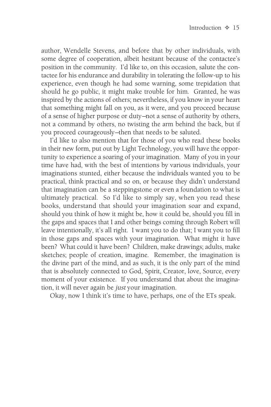author, Wendelle Stevens, and before that by other individuals, with some degree of cooperation, albeit hesitant because of the contactee's position in the community. I'd like to, on this occasion, salute the contactee for his endurance and durability in tolerating the follow-up to his experience, even though he had some warning, some trepidation that should he go public, it might make trouble for him. Granted, he was inspired by the actions of others; nevertheless, if you know in your heart that something might fall on you, as it were, and you proceed because of a sense of higher purpose or duty—not a sense of authority by others, not a command by others, no twisting the arm behind the back, but if you proceed courageously—then that needs to be saluted.

I'd like to also mention that for those of you who read these books in their new form, put out by Light Technology, you will have the opportunity to experience a soaring of your imagination. Many of you in your time have had, with the best of intentions by various individuals, your imaginations stunted, either because the individuals wanted you to be practical, think practical and so on, or because they didn't understand that imagination can be a steppingstone or even a foundation to what is ultimately practical. So I'd like to simply say, when you read these books, understand that should your imagination soar and expand, should you think of how it might be, how it could be, should you fill in the gaps and spaces that I and other beings coming through Robert will leave intentionally, it's all right. I want you to do that; I want you to fill in those gaps and spaces with your imagination. What might it have been? What could it have been? Children, make drawings; adults, make sketches; people of creation, imagine. Remember, the imagination is the divine part of the mind, and as such, it is the only part of the mind that is absolutely connected to God, Spirit, Creator, love, Source, every moment of your existence. If you understand that about the imagination, it will never again be just your imagination.

Okay, now I think it's time to have, perhaps, one of the ETs speak.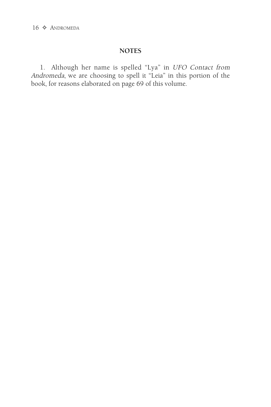### **NOTES**

1. Although her name is spelled "Lya" in UFO Contact from Andromeda, we are choosing to spell it "Leia" in this portion of the book, for reasons elaborated on page 69 of this volume.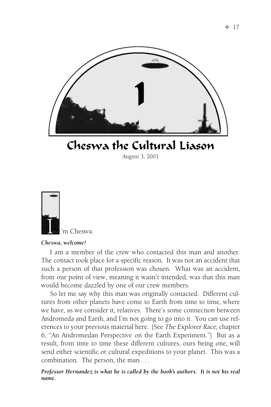

# Cheswa the Cultural Liason

August 3, 2001



#### *Cheswa, welcome!*

I am a member of the crew who contacted this man and another. The contact took place for a specific reason. It was not an accident that such a person of that profession was chosen. What was an accident, from our point of view, meaning it wasn't intended, was that this man would become dazzled by one of our crew members.

So let me say why this man was originally contacted. Different cultures from other planets have come to Earth from time to time, where we have, as we consider it, relatives. There's some connection between Andromeda and Earth, and I'm not going to go into it. You can use references to your previous material here. [See The Explorer Race, chapter 6, "An Andromedan Perspective on the Earth Experiment."] But as a result, from time to time these different cultures, ours being one, will send either scientific or cultural expeditions to your planet. This was a combination. The person, the man . . .

*Professor Hernandez is what he is called by the book's authors. It is not his real name.*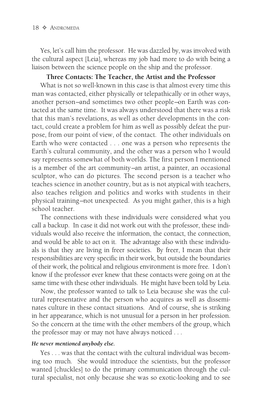Yes, let's call him the professor. He was dazzled by, was involved with the cultural aspect [Leia], whereas my job had more to do with being a liaison between the science people on the ship and the professor.

#### **Three Contacts: The Teacher, the Artist and the Professor**

What is not so well-known in this case is that almost every time this man was contacted, either physically or telepathically or in other ways, another person—and sometimes two other people—on Earth was contacted at the same time. It was always understood that there was a risk that this man's revelations, as well as other developments in the contact, could create a problem for him as well as possibly defeat the purpose, from our point of view, of the contact. The other individuals on Earth who were contacted . . . one was a person who represents the Earth's cultural community, and the other was a person who I would say represents somewhat of both worlds. The first person I mentioned is a member of the art community—an artist, a painter, an occasional sculptor, who can do pictures. The second person is a teacher who teaches science in another country, but as is not atypical with teachers, also teaches religion and politics and works with students in their physical training—not unexpected. As you might gather, this is a high school teacher.

The connections with these individuals were considered what you call a backup. In case it did not work out with the professor, these individuals would also receive the information, the contact, the connection, and would be able to act on it. The advantage also with these individuals is that they are living in freer societies. By freer, I mean that their responsibilities are very specific in their work, but outside the boundaries of their work, the political and religious environment is more free. I don't know if the professor ever knew that these contacts were going on at the same time with these other individuals. He might have been told by Leia.

Now, the professor wanted to talk to Leia because she was the cultural representative and the person who acquires as well as disseminates culture in these contact situations. And of course, she is striking in her appearance, which is not unusual for a person in her profession. So the concern at the time with the other members of the group, which the professor may or may not have always noticed . . .

#### *He never mentioned anybody else.*

Yes . . . was that the contact with the cultural individual was becoming too much. She would introduce the scientists, but the professor wanted [chuckles] to do the primary communication through the cultural specialist, not only because she was so exotic-looking and to see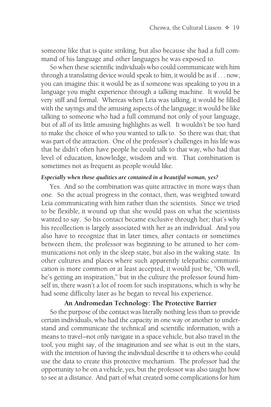someone like that is quite striking, but also because she had a full command of his language and other languages he was exposed to.

So when these scientific individuals who could communicate with him through a translating device would speak to him, it would be as if . . . now, you can imagine this: it would be as if someone was speaking to you in a language you might experience through a talking machine. It would be very stiff and formal. Whereas when Leia was talking, it would be filled with the sayings and the amusing aspects of the language; it would be like talking to someone who had a full command not only of your language, but of all of its little amusing highlights as well. It wouldn't be too hard to make the choice of who you wanted to talk to. So there was that; that was part of the attraction. One of the professor's challenges in his life was that he didn't often have people he could talk to that way, who had that level of education, knowledge, wisdom and wit. That combination is sometimes not as frequent as people would like.

#### *Especially when those qualities are contained in a beautiful woman, yes?*

Yes. And so the combination was quite attractive in more ways than one. So the actual progress in the contact, then, was weighted toward Leia communicating with him rather than the scientists. Since we tried to be flexible, it wound up that she would pass on what the scientists wanted to say. So his contact became exclusive through her; that's why his recollection is largely associated with her as an individual. And you also have to recognize that in later times, after contacts or sometimes between them, the professor was beginning to be attuned to her communications not only in the sleep state, but also in the waking state. In other cultures and places where such apparently telepathic communication is more common or at least accepted, it would just be, "Oh well, he's getting an inspiration," but in the culture the professor found himself in, there wasn't a lot of room for such inspirations, which is why he had some difficulty later as he began to reveal his experience.

#### **An Andromedan Technology: The Protective Barrier**

So the purpose of the contact was literally nothing less than to provide certain individuals, who had the capacity in one way or another to understand and communicate the technical and scientific information, with a means to travel—not only navigate in a space vehicle, but also travel in the tool, you might say, of the imagination and see what is out in the stars, with the intention of having the individual describe it to others who could use the data to create this protective mechanism. The professor had the opportunity to be on a vehicle, yes, but the professor was also taught how to see at a distance. And part of what created some complications for him